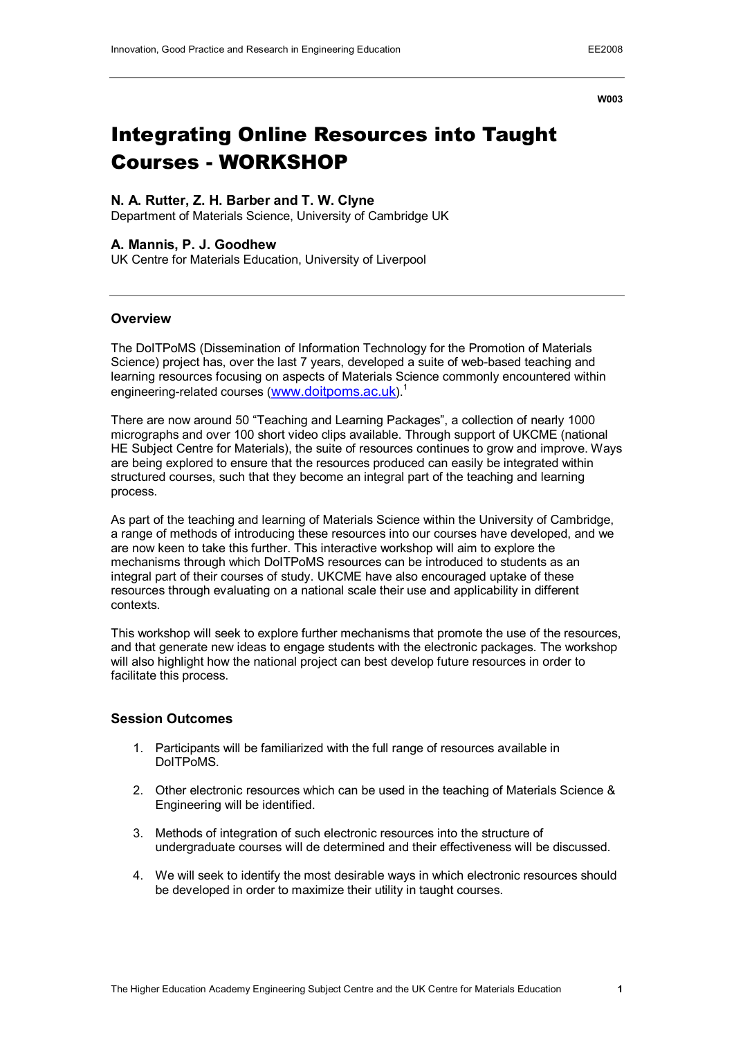**W003**

# Integrating Online Resources into Taught Courses WORKSHOP

## **N. A. Rutter, Z. H. Barber and T. W. Clyne**

Department of Materials Science, University of Cambridge UK

## **A. Mannis, P. J. Goodhew**

UK Centre for Materials Education, University of Liverpool

#### **Overview**

The DoITPoMS (Dissemination of Information Technology for the Promotion of Materials Science) project has, over the last 7 years, developed a suite of web-based teaching and learning resources focusing on aspects of Materials Science commonly encountered within engineering-related courses ([www.doitpoms.ac.uk](http://www.doitpoms.ac.uk/)).<sup>1</sup>

There are now around 50 "Teaching and Learning Packages", a collection of nearly 1000 micrographs and over 100 short video clips available. Through support of UKCME (national HE Subject Centre for Materials), the suite of resources continues to grow and improve. Ways are being explored to ensure that the resources produced can easily be integrated within structured courses, such that they become an integral part of the teaching and learning process.

As part of the teaching and learning of Materials Science within the University of Cambridge, a range of methods of introducing these resources into our courses have developed, and we are now keen to take this further. This interactive workshop will aim to explore the mechanisms through which DoITPoMS resources can be introduced to students as an integral part of their courses of study. UKCME have also encouraged uptake of these resources through evaluating on a national scale their use and applicability in different contexts.

This workshop will seek to explore further mechanisms that promote the use of the resources, and that generate new ideas to engage students with the electronic packages. The workshop will also highlight how the national project can best develop future resources in order to facilitate this process.

#### **Session Outcomes**

- 1. Participants will be familiarized with the full range of resources available in DoITPoMS.
- 2. Other electronic resources which can be used in the teaching of Materials Science & Engineering will be identified.
- 3. Methods of integration of such electronic resources into the structure of undergraduate courses will de determined and their effectiveness will be discussed.
- 4. We will seek to identify the most desirable ways in which electronic resources should be developed in order to maximize their utility in taught courses.